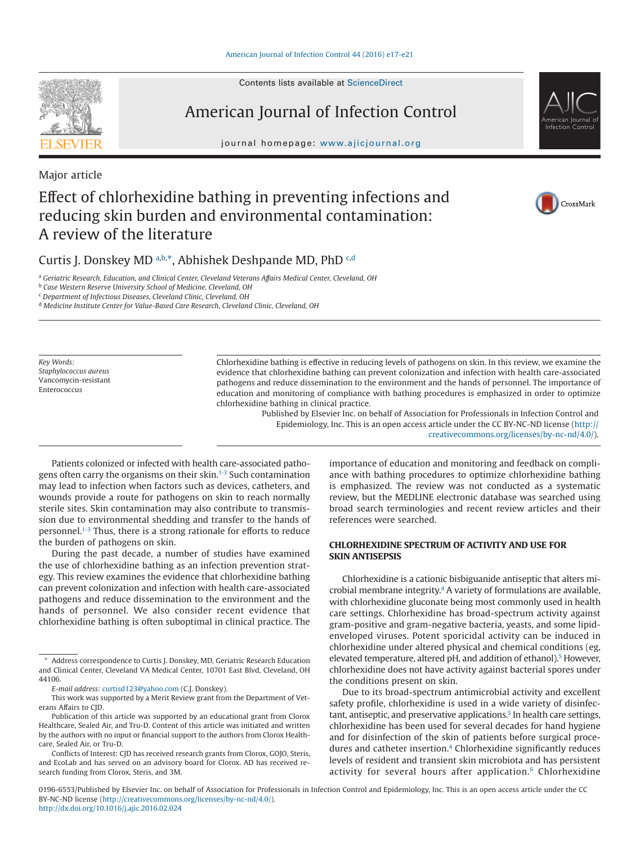[American Journal of Infection Control 44 \(2016\) e17-e21](http://dx.doi.org/10.1016/j.ajic.2016.02.024)

Contents lists available at [ScienceDirect](http://www.sciencedirect.com/science/journal/01966553)

# American Journal of Infection Control

journal homepage: [www.ajicjournal.org](http://www.ajicjournal.org)

Major article

## Effect of chlorhexidine bathing in preventing infections and reducing skin burden and environmental contamination: A review of the literature



American Journal of Infection Control

Curtis J. Donskey MD <sup>[a,](#page-0-0)[b,](#page-0-1)\*</sup>, Abhishek Deshpande MD, PhD <sup>[c,](#page-0-3)[d](#page-0-4)</sup>

<span id="page-0-0"></span><sup>a</sup> *Geriatric Research, Education, and Clinical Center, Cleveland Veterans Affairs Medical Center, Cleveland, OH*

<span id="page-0-1"></span><sup>b</sup> *Case Western Reserve University School of Medicine, Cleveland, OH*

<span id="page-0-3"></span><sup>c</sup> *Department of Infectious Diseases, Cleveland Clinic, Cleveland, OH*

<span id="page-0-4"></span><sup>d</sup> *Medicine Institute Center for Value-Based Care Research, Cleveland Clinic, Cleveland, OH*

*Key Words: Staphylococcus aureus* Vancomycin-resistant Enterococcus

Chlorhexidine bathing is effective in reducing levels of pathogens on skin. In this review, we examine the evidence that chlorhexidine bathing can prevent colonization and infection with health care-associated pathogens and reduce dissemination to the environment and the hands of personnel. The importance of education and monitoring of compliance with bathing procedures is emphasized in order to optimize chlorhexidine bathing in clinical practice.

Published by Elsevier Inc. on behalf of Association for Professionals in Infection Control and Epidemiology, Inc. This is an open access article under the CC BY-NC-ND license (http:// creativecommons.org/licenses/by-nc-nd/4.0/).

Patients colonized or infected with health care-associated pathogens often carry the organisms on their skin.<sup>1-3</sup> Such contamination may lead to infection when factors such as devices, catheters, and wounds provide a route for pathogens on skin to reach normally sterile sites. Skin contamination may also contribute to transmission due to environmental shedding and transfer to the hands of personnel[.1-3](#page-3-0) Thus, there is a strong rationale for efforts to reduce the burden of pathogens on skin.

During the past decade, a number of studies have examined the use of chlorhexidine bathing as an infection prevention strategy. This review examines the evidence that chlorhexidine bathing can prevent colonization and infection with health care-associated pathogens and reduce dissemination to the environment and the hands of personnel. We also consider recent evidence that chlorhexidine bathing is often suboptimal in clinical practice. The importance of education and monitoring and feedback on compliance with bathing procedures to optimize chlorhexidine bathing is emphasized. The review was not conducted as a systematic review, but the MEDLINE electronic database was searched using broad search terminologies and recent review articles and their references were searched.

## **CHLORHEXIDINE SPECTRUM OF ACTIVITY AND USE FOR SKIN ANTISEPSIS**

Chlorhexidine is a cationic bisbiguanide antiseptic that alters microbial membrane integrity.<sup>4</sup> A variety of formulations are available, with chlorhexidine gluconate being most commonly used in health care settings. Chlorhexidine has broad-spectrum activity against gram-positive and gram-negative bacteria, yeasts, and some lipidenveloped viruses. Potent sporicidal activity can be induced in chlorhexidine under altered physical and chemical conditions (eg, elevated temperature, altered pH, and addition of ethanol).<sup>5</sup> However, chlorhexidine does not have activity against bacterial spores under the conditions present on skin.

Due to its broad-spectrum antimicrobial activity and excellent safety profile, chlorhexidine is used in a wide variety of disinfectant, antiseptic, and preservative applications.<sup>5</sup> In health care settings, chlorhexidine has been used for several decades for hand hygiene and for disinfection of the skin of patients before surgical procedures and catheter insertion[.4](#page-3-1) Chlorhexidine significantly reduces levels of resident and transient skin microbiota and has persistent activity for several hours after application. $6$  Chlorhexidine

0196-6553/Published by Elsevier Inc. on behalf of Association for Professionals in Infection Control and Epidemiology, Inc. This is an open access article under the CC BY-NC-ND license (http://creativecommons.org/licenses/by-nc-nd/4.0/). <http://dx.doi.org/10.1016/j.ajic.2016.02.024>

<span id="page-0-2"></span>Address correspondence to Curtis J. Donskey, MD, Geriatric Research Education and Clinical Center, Cleveland VA Medical Center, 10701 East Blvd, Cleveland, OH 44106.

*E-mail address:* [curtisd123@yahoo.com](mailto:curtisd123@yahoo.com) (C.J. Donskey).

This work was supported by a Merit Review grant from the Department of Veterans Affairs to CJD.

Publication of this article was supported by an educational grant from Clorox Healthcare, Sealed Air, and Tru-D. Content of this article was initiated and written by the authors with no input or financial support to the authors from Clorox Healthcare, Sealed Air, or Tru-D.

Conflicts of Interest: CJD has received research grants from Clorox, GOJO, Steris, and EcoLab and has served on an advisory board for Clorox. AD has received research funding from Clorox, Steris, and 3M.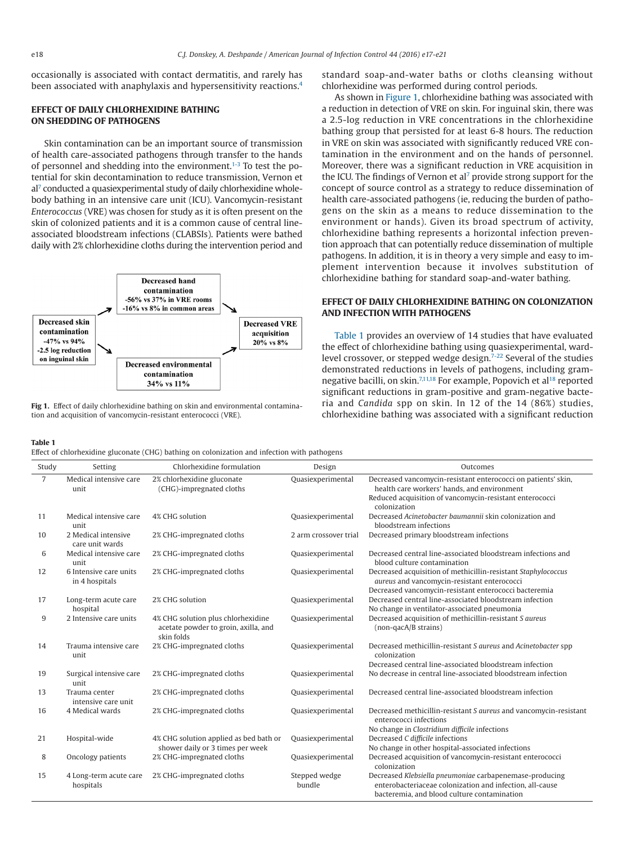occasionally is associated with contact dermatitis, and rarely has been associated with anaphylaxis and hypersensitivity reactions[.4](#page-3-1)

## **EFFECT OF DAILY CHLORHEXIDINE BATHING ON SHEDDING OF PATHOGENS**

Skin contamination can be an important source of transmission of health care-associated pathogens through transfer to the hands of personnel and shedding into the environment.<sup>1-3</sup> To test the potential for skin decontamination to reduce transmission, Vernon et al<sup>7</sup> conducted a quasiexperimental study of daily chlorhexidine wholebody bathing in an intensive care unit (ICU). Vancomycin-resistant *Enterococcus* (VRE) was chosen for study as it is often present on the skin of colonized patients and it is a common cause of central lineassociated bloodstream infections (CLABSIs). Patients were bathed daily with 2% chlorhexidine cloths during the intervention period and





standard soap-and-water baths or cloths cleansing without chlorhexidine was performed during control periods.

As shown in Figure 1, chlorhexidine bathing was associated with a reduction in detection of VRE on skin. For inguinal skin, there was a 2.5-log reduction in VRE concentrations in the chlorhexidine bathing group that persisted for at least 6-8 hours. The reduction in VRE on skin was associated with significantly reduced VRE contamination in the environment and on the hands of personnel. Moreover, there was a significant reduction in VRE acquisition in the ICU. The findings of Vernon et al<sup>7</sup> provide strong support for the concept of source control as a strategy to reduce dissemination of health care-associated pathogens (ie, reducing the burden of pathogens on the skin as a means to reduce dissemination to the environment or hands). Given its broad spectrum of activity, chlorhexidine bathing represents a horizontal infection prevention approach that can potentially reduce dissemination of multiple pathogens. In addition, it is in theory a very simple and easy to implement intervention because it involves substitution of chlorhexidine bathing for standard soap-and-water bathing.

## **EFFECT OF DAILY CHLORHEXIDINE BATHING ON COLONIZATION AND INFECTION WITH PATHOGENS**

Table 1 provides an overview of 14 studies that have evaluated the effect of chlorhexidine bathing using quasiexperimental, wardlevel crossover, or stepped wedge design.<sup>7-22</sup> Several of the studies demonstrated reductions in levels of pathogens, including gramnegative bacilli, on skin.<sup>7,11,18</sup> For example, Popovich et al<sup>18</sup> reported significant reductions in gram-positive and gram-negative bacteria and *Candida* spp on skin. In 12 of the 14 (86%) studies, chlorhexidine bathing was associated with a significant reduction

#### **Table 1**

Effect of chlorhexidine gluconate (CHG) bathing on colonization and infection with pathogens

| Eliect of ChlorileXiume gluconate (Crity) bathlife on colonization and infection with pathogens |                                          |                                                                                          |                         |                                                                                                                                                                                         |
|-------------------------------------------------------------------------------------------------|------------------------------------------|------------------------------------------------------------------------------------------|-------------------------|-----------------------------------------------------------------------------------------------------------------------------------------------------------------------------------------|
| Study                                                                                           | Setting                                  | Chlorhexidine formulation                                                                | Design                  | Outcomes                                                                                                                                                                                |
| $\overline{7}$                                                                                  | Medical intensive care<br>unit           | 2% chlorhexidine gluconate<br>(CHG)-impregnated cloths                                   | Quasiexperimental       | Decreased vancomycin-resistant enterococci on patients' skin,<br>health care workers' hands, and environment<br>Reduced acquisition of vancomycin-resistant enterococci<br>colonization |
| 11                                                                                              | Medical intensive care<br>unit           | 4% CHG solution                                                                          | Quasiexperimental       | Decreased Acinetobacter baumannii skin colonization and<br>bloodstream infections                                                                                                       |
| 10                                                                                              | 2 Medical intensive<br>care unit wards   | 2% CHG-impregnated cloths                                                                | 2 arm crossover trial   | Decreased primary bloodstream infections                                                                                                                                                |
| 6                                                                                               | Medical intensive care<br>unit           | 2% CHG-impregnated cloths                                                                | Quasiexperimental       | Decreased central line-associated bloodstream infections and<br>blood culture contamination                                                                                             |
| 12                                                                                              | 6 Intensive care units<br>in 4 hospitals | 2% CHG-impregnated cloths                                                                | Quasiexperimental       | Decreased acquisition of methicillin-resistant Staphylococcus<br>aureus and vancomycin-resistant enterococci<br>Decreased vancomycin-resistant enterococci bacteremia                   |
| 17                                                                                              | Long-term acute care<br>hospital         | 2% CHG solution                                                                          | Quasiexperimental       | Decreased central line-associated bloodstream infection<br>No change in ventilator-associated pneumonia                                                                                 |
| 9                                                                                               | 2 Intensive care units                   | 4% CHG solution plus chlorhexidine<br>acetate powder to groin, axilla, and<br>skin folds | Quasiexperimental       | Decreased acquisition of methicillin-resistant S aureus<br>(non-qacA/B strains)                                                                                                         |
| 14                                                                                              | Trauma intensive care<br>unit            | 2% CHG-impregnated cloths                                                                | Quasiexperimental       | Decreased methicillin-resistant S aureus and Acinetobacter spp<br>colonization<br>Decreased central line-associated bloodstream infection                                               |
| 19                                                                                              | Surgical intensive care<br>unit          | 2% CHG-impregnated cloths                                                                | Quasiexperimental       | No decrease in central line-associated bloodstream infection                                                                                                                            |
| 13                                                                                              | Trauma center<br>intensive care unit     | 2% CHG-impregnated cloths                                                                | Quasiexperimental       | Decreased central line-associated bloodstream infection                                                                                                                                 |
| 16                                                                                              | 4 Medical wards                          | 2% CHG-impregnated cloths                                                                | Quasiexperimental       | Decreased methicillin-resistant S aureus and vancomycin-resistant<br>enterococci infections<br>No change in Clostridium difficile infections                                            |
| 21                                                                                              | Hospital-wide                            | 4% CHG solution applied as bed bath or<br>shower daily or 3 times per week               | Quasiexperimental       | Decreased C difficile infections<br>No change in other hospital-associated infections                                                                                                   |
| 8                                                                                               | Oncology patients                        | 2% CHG-impregnated cloths                                                                | Quasiexperimental       | Decreased acquisition of vancomycin-resistant enterococci<br>colonization                                                                                                               |
| 15                                                                                              | 4 Long-term acute care<br>hospitals      | 2% CHG-impregnated cloths                                                                | Stepped wedge<br>bundle | Decreased Klebsiella pneumoniae carbapenemase-producing<br>enterobacteriaceae colonization and infection, all-cause<br>bacteremia, and blood culture contamination                      |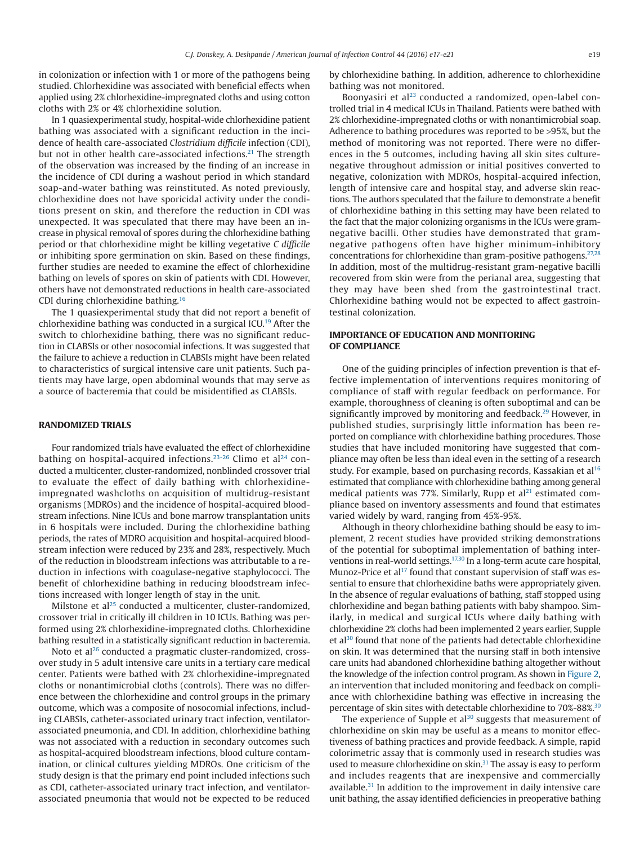in colonization or infection with 1 or more of the pathogens being studied. Chlorhexidine was associated with beneficial effects when applied using 2% chlorhexidine-impregnated cloths and using cotton cloths with 2% or 4% chlorhexidine solution.

In 1 quasiexperimental study, hospital-wide chlorhexidine patient bathing was associated with a significant reduction in the incidence of health care-associated *Clostridium difficile* infection (CDI), but not in other health care-associated infections.<sup>21</sup> The strength of the observation was increased by the finding of an increase in the incidence of CDI during a washout period in which standard soap-and-water bathing was reinstituted. As noted previously, chlorhexidine does not have sporicidal activity under the conditions present on skin, and therefore the reduction in CDI was unexpected. It was speculated that there may have been an increase in physical removal of spores during the chlorhexidine bathing period or that chlorhexidine might be killing vegetative *C difficile* or inhibiting spore germination on skin. Based on these findings, further studies are needed to examine the effect of chlorhexidine bathing on levels of spores on skin of patients with CDI. However, others have not demonstrated reductions in health care-associated CDI during chlorhexidine bathing[.16](#page-3-7)

The 1 quasiexperimental study that did not report a benefit of chlorhexidine bathing was conducted in a surgical ICU[.19](#page-3-8) After the switch to chlorhexidine bathing, there was no significant reduction in CLABSIs or other nosocomial infections. It was suggested that the failure to achieve a reduction in CLABSIs might have been related to characteristics of surgical intensive care unit patients. Such patients may have large, open abdominal wounds that may serve as a source of bacteremia that could be misidentified as CLABSIs.

## **RANDOMIZED TRIALS**

Four randomized trials have evaluated the effect of chlorhexidine bathing on hospital-acquired infections.<sup>23-26</sup> Climo et al<sup>24</sup> conducted a multicenter, cluster-randomized, nonblinded crossover trial to evaluate the effect of daily bathing with chlorhexidineimpregnated washcloths on acquisition of multidrug-resistant organisms (MDROs) and the incidence of hospital-acquired bloodstream infections. Nine ICUs and bone marrow transplantation units in 6 hospitals were included. During the chlorhexidine bathing periods, the rates of MDRO acquisition and hospital-acquired bloodstream infection were reduced by 23% and 28%, respectively. Much of the reduction in bloodstream infections was attributable to a reduction in infections with coagulase-negative staphylococci. The benefit of chlorhexidine bathing in reducing bloodstream infections increased with longer length of stay in the unit.

Milstone et al<sup>25</sup> conducted a multicenter, cluster-randomized, crossover trial in critically ill children in 10 ICUs. Bathing was performed using 2% chlorhexidine-impregnated cloths. Chlorhexidine bathing resulted in a statistically significant reduction in bacteremia.

Noto et al<sup>26</sup> conducted a pragmatic cluster-randomized, crossover study in 5 adult intensive care units in a tertiary care medical center. Patients were bathed with 2% chlorhexidine-impregnated cloths or nonantimicrobial cloths (controls). There was no difference between the chlorhexidine and control groups in the primary outcome, which was a composite of nosocomial infections, including CLABSIs, catheter-associated urinary tract infection, ventilatorassociated pneumonia, and CDI. In addition, chlorhexidine bathing was not associated with a reduction in secondary outcomes such as hospital-acquired bloodstream infections, blood culture contamination, or clinical cultures yielding MDROs. One criticism of the study design is that the primary end point included infections such as CDI, catheter-associated urinary tract infection, and ventilatorassociated pneumonia that would not be expected to be reduced by chlorhexidine bathing. In addition, adherence to chlorhexidine bathing was not monitored.

Boonyasiri et al $^{23}$  conducted a randomized, open-label controlled trial in 4 medical ICUs in Thailand. Patients were bathed with 2% chlorhexidine-impregnated cloths or with nonantimicrobial soap. Adherence to bathing procedures was reported to be >95%, but the method of monitoring was not reported. There were no differences in the 5 outcomes, including having all skin sites culturenegative throughout admission or initial positives converted to negative, colonization with MDROs, hospital-acquired infection, length of intensive care and hospital stay, and adverse skin reactions. The authors speculated that the failure to demonstrate a benefit of chlorhexidine bathing in this setting may have been related to the fact that the major colonizing organisms in the ICUs were gramnegative bacilli. Other studies have demonstrated that gramnegative pathogens often have higher minimum-inhibitory concentrations for chlorhexidine than gram-positive pathogens.<sup>27,28</sup> In addition, most of the multidrug-resistant gram-negative bacilli recovered from skin were from the perianal area, suggesting that they may have been shed from the gastrointestinal tract. Chlorhexidine bathing would not be expected to affect gastrointestinal colonization.

## **IMPORTANCE OF EDUCATION AND MONITORING OF COMPLIANCE**

One of the guiding principles of infection prevention is that effective implementation of interventions requires monitoring of compliance of staff with regular feedback on performance. For example, thoroughness of cleaning is often suboptimal and can be significantly improved by monitoring and feedback.<sup>29</sup> However, in published studies, surprisingly little information has been reported on compliance with chlorhexidine bathing procedures. Those studies that have included monitoring have suggested that compliance may often be less than ideal even in the setting of a research study. For example, based on purchasing records, Kassakian et al<sup>16</sup> estimated that compliance with chlorhexidine bathing among general medical patients was 77%. Similarly, Rupp et  $al<sup>21</sup>$  estimated compliance based on inventory assessments and found that estimates varied widely by ward, ranging from 45%-95%.

Although in theory chlorhexidine bathing should be easy to implement, 2 recent studies have provided striking demonstrations of the potential for suboptimal implementation of bathing interventions in real-world settings.<sup>17,30</sup> In a long-term acute care hospital, Munoz-Price et al<sup>17</sup> found that constant supervision of staff was essential to ensure that chlorhexidine baths were appropriately given. In the absence of regular evaluations of bathing, staff stopped using chlorhexidine and began bathing patients with baby shampoo. Similarly, in medical and surgical ICUs where daily bathing with chlorhexidine 2% cloths had been implemented 2 years earlier, Supple et al $30$  found that none of the patients had detectable chlorhexidine on skin. It was determined that the nursing staff in both intensive care units had abandoned chlorhexidine bathing altogether without the knowledge of the infection control program. As shown in [Figure 2,](#page-3-11) an intervention that included monitoring and feedback on compliance with chlorhexidine bathing was effective in increasing the percentage of skin sites with detectable chlorhexidine to 70%-88%[.30](#page-4-5)

The experience of Supple et al $30$  suggests that measurement of chlorhexidine on skin may be useful as a means to monitor effectiveness of bathing practices and provide feedback. A simple, rapid colorimetric assay that is commonly used in research studies was used to measure chlorhexidine on skin.<sup>31</sup> The assay is easy to perform and includes reagents that are inexpensive and commercially available. $31$  In addition to the improvement in daily intensive care unit bathing, the assay identified deficiencies in preoperative bathing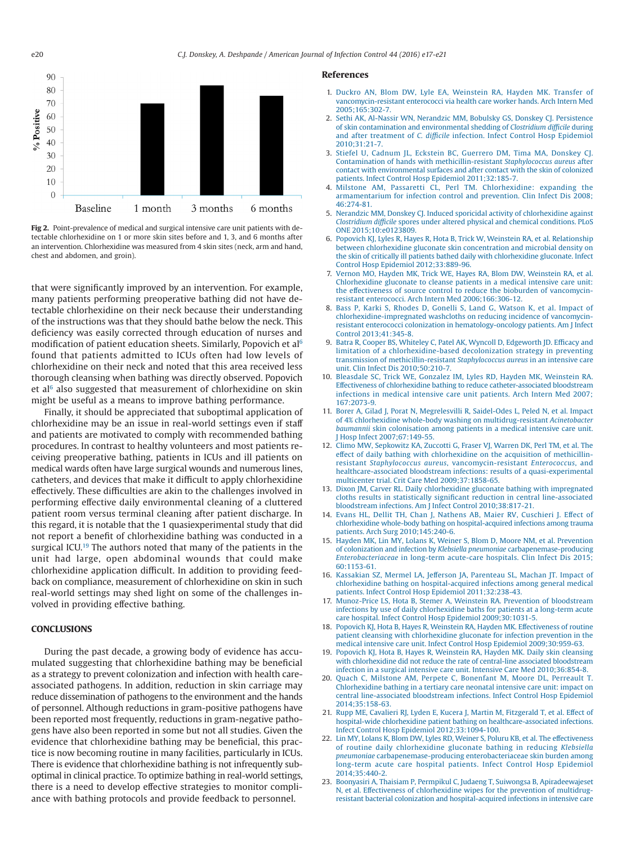

**Fig 2.** Point-prevalence of medical and surgical intensive care unit patients with detectable chlorhexidine on 1 or more skin sites before and 1, 3, and 6 months after an intervention. Chlorhexidine was measured from 4 skin sites (neck, arm and hand, chest and abdomen, and groin).

that were significantly improved by an intervention. For example, many patients performing preoperative bathing did not have detectable chlorhexidine on their neck because their understanding of the instructions was that they should bathe below the neck. This deficiency was easily corrected through education of nurses and modification of patient education sheets. Similarly, Popovich et al<sup>6</sup> found that patients admitted to ICUs often had low levels of chlorhexidine on their neck and noted that this area received less thorough cleansing when bathing was directly observed. Popovich et al<sup>6</sup> also suggested that measurement of chlorhexidine on skin might be useful as a means to improve bathing performance.

Finally, it should be appreciated that suboptimal application of chlorhexidine may be an issue in real-world settings even if staff and patients are motivated to comply with recommended bathing procedures. In contrast to healthy volunteers and most patients receiving preoperative bathing, patients in ICUs and ill patients on medical wards often have large surgical wounds and numerous lines, catheters, and devices that make it difficult to apply chlorhexidine effectively. These difficulties are akin to the challenges involved in performing effective daily environmental cleaning of a cluttered patient room versus terminal cleaning after patient discharge. In this regard, it is notable that the 1 quasiexperimental study that did not report a benefit of chlorhexidine bathing was conducted in a surgical ICU.<sup>19</sup> The authors noted that many of the patients in the unit had large, open abdominal wounds that could make chlorhexidine application difficult. In addition to providing feedback on compliance, measurement of chlorhexidine on skin in such real-world settings may shed light on some of the challenges involved in providing effective bathing.

## **CONCLUSIONS**

During the past decade, a growing body of evidence has accumulated suggesting that chlorhexidine bathing may be beneficial as a strategy to prevent colonization and infection with health careassociated pathogens. In addition, reduction in skin carriage may reduce dissemination of pathogens to the environment and the hands of personnel. Although reductions in gram-positive pathogens have been reported most frequently, reductions in gram-negative pathogens have also been reported in some but not all studies. Given the evidence that chlorhexidine bathing may be beneficial, this practice is now becoming routine in many facilities, particularly in ICUs. There is evidence that chlorhexidine bathing is not infrequently suboptimal in clinical practice. To optimize bathing in real-world settings, there is a need to develop effective strategies to monitor compliance with bathing protocols and provide feedback to personnel.

#### **References**

- <span id="page-3-0"></span>1. [Duckro AN, Blom DW, Lyle EA, Weinstein RA, Hayden MK. Transfer of](http://refhub.elsevier.com/S0196-6553(16)00200-5/sr0010) [vancomycin-resistant enterococci via health care worker hands. Arch Intern Med](http://refhub.elsevier.com/S0196-6553(16)00200-5/sr0010) [2005;165:302-7.](http://refhub.elsevier.com/S0196-6553(16)00200-5/sr0010)
- 2. [Sethi AK, Al-Nassir WN, Nerandzic MM, Bobulsky GS, Donskey CJ. Persistence](http://refhub.elsevier.com/S0196-6553(16)00200-5/sr0015) [of skin contamination and environmental shedding of](http://refhub.elsevier.com/S0196-6553(16)00200-5/sr0015) *Clostridium difficile* during and after treatment of *C. difficile* [infection. Infect Control Hosp Epidemiol](http://refhub.elsevier.com/S0196-6553(16)00200-5/sr0015) [2010;31:21-7.](http://refhub.elsevier.com/S0196-6553(16)00200-5/sr0015)
- 3. [Stiefel U, Cadnum JL, Eckstein BC, Guerrero DM, Tima MA, Donskey CJ.](http://refhub.elsevier.com/S0196-6553(16)00200-5/sr0020) [Contamination of hands with methicillin-resistant](http://refhub.elsevier.com/S0196-6553(16)00200-5/sr0020) *Staphylococcus aureus* after [contact with environmental surfaces and after contact with the skin of colonized](http://refhub.elsevier.com/S0196-6553(16)00200-5/sr0020) [patients. Infect Control Hosp Epidemiol 2011;32:185-7.](http://refhub.elsevier.com/S0196-6553(16)00200-5/sr0020)
- <span id="page-3-1"></span>4. [Milstone AM, Passaretti CL, Perl TM. Chlorhexidine: expanding the](http://refhub.elsevier.com/S0196-6553(16)00200-5/sr0025) [armamentarium for infection control and prevention. Clin Infect Dis 2008;](http://refhub.elsevier.com/S0196-6553(16)00200-5/sr0025) [46:274-81.](http://refhub.elsevier.com/S0196-6553(16)00200-5/sr0025)
- <span id="page-3-2"></span>5. [Nerandzic MM, Donskey CJ. Induced sporicidal activity of chlorhexidine against](http://refhub.elsevier.com/S0196-6553(16)00200-5/sr0030) *Clostridium difficile* [spores under altered physical and chemical conditions. PLoS](http://refhub.elsevier.com/S0196-6553(16)00200-5/sr0030) [ONE 2015;10:e0123809.](http://refhub.elsevier.com/S0196-6553(16)00200-5/sr0030)
- <span id="page-3-3"></span>6. [Popovich KJ, Lyles R, Hayes R, Hota B, Trick W, Weinstein RA, et al. Relationship](http://refhub.elsevier.com/S0196-6553(16)00200-5/sr0035) [between chlorhexidine gluconate skin concentration and microbial density on](http://refhub.elsevier.com/S0196-6553(16)00200-5/sr0035) [the skin of critically ill patients bathed daily with chlorhexidine gluconate. Infect](http://refhub.elsevier.com/S0196-6553(16)00200-5/sr0035) [Control Hosp Epidemiol 2012;33:889-96.](http://refhub.elsevier.com/S0196-6553(16)00200-5/sr0035)
- <span id="page-3-4"></span>7. [Vernon MO, Hayden MK, Trick WE, Hayes RA, Blom DW, Weinstein RA, et al.](http://refhub.elsevier.com/S0196-6553(16)00200-5/sr0040) [Chlorhexidine gluconate to cleanse patients in a medical intensive care unit:](http://refhub.elsevier.com/S0196-6553(16)00200-5/sr0040) [the effectiveness of source control to reduce the bioburden of vancomycin](http://refhub.elsevier.com/S0196-6553(16)00200-5/sr0040)[resistant enterococci. Arch Intern Med 2006;166:306-12.](http://refhub.elsevier.com/S0196-6553(16)00200-5/sr0040)
- 8. [Bass P, Karki S, Rhodes D, Gonelli S, Land G, Watson K, et al. Impact of](http://refhub.elsevier.com/S0196-6553(16)00200-5/sr0045) [chlorhexidine-impregnated washcloths on reducing incidence of vancomycin](http://refhub.elsevier.com/S0196-6553(16)00200-5/sr0045)[resistant enterococci colonization in hematology-oncology patients. Am J Infect](http://refhub.elsevier.com/S0196-6553(16)00200-5/sr0045) [Control 2013;41:345-8.](http://refhub.elsevier.com/S0196-6553(16)00200-5/sr0045)
- 9. [Batra R, Cooper BS, Whiteley C, Patel AK, Wyncoll D, Edgeworth JD. Efficacy and](http://refhub.elsevier.com/S0196-6553(16)00200-5/sr0050) [limitation of a chlorhexidine-based decolonization strategy in preventing](http://refhub.elsevier.com/S0196-6553(16)00200-5/sr0050) [transmission of methicillin-resistant](http://refhub.elsevier.com/S0196-6553(16)00200-5/sr0050) *Staphylococcus aureus* in an intensive care [unit. Clin Infect Dis 2010;50:210-7.](http://refhub.elsevier.com/S0196-6553(16)00200-5/sr0050)
- 10. [Bleasdale SC, Trick WE, Gonzalez IM, Lyles RD, Hayden MK, Weinstein RA.](http://refhub.elsevier.com/S0196-6553(16)00200-5/sr0055) [Effectiveness of chlorhexidine bathing to reduce catheter-associated bloodstream](http://refhub.elsevier.com/S0196-6553(16)00200-5/sr0055) [infections in medical intensive care unit patients. Arch Intern Med 2007;](http://refhub.elsevier.com/S0196-6553(16)00200-5/sr0055) [167:2073-9.](http://refhub.elsevier.com/S0196-6553(16)00200-5/sr0055)
- 11. [Borer A, Gilad J, Porat N, Megrelesvilli R, Saidel-Odes L, Peled N, et al. Impact](http://refhub.elsevier.com/S0196-6553(16)00200-5/sr0060) [of 4% chlorhexidine whole-body washing on multidrug-resistant](http://refhub.elsevier.com/S0196-6553(16)00200-5/sr0060) *Acinetobacter baumannii* [skin colonisation among patients in a medical intensive care unit.](http://refhub.elsevier.com/S0196-6553(16)00200-5/sr0060) [J Hosp Infect 2007;67:149-55.](http://refhub.elsevier.com/S0196-6553(16)00200-5/sr0060)
- 12. [Climo MW, Sepkowitz KA, Zuccotti G, Fraser VJ, Warren DK, Perl TM, et al. The](http://refhub.elsevier.com/S0196-6553(16)00200-5/sr0065) [effect of daily bathing with chlorhexidine on the acquisition of methicillin](http://refhub.elsevier.com/S0196-6553(16)00200-5/sr0065)resistant *Staphylococcus aureus*[, vancomycin-resistant](http://refhub.elsevier.com/S0196-6553(16)00200-5/sr0065) *Enterococcus*, and [healthcare-associated bloodstream infections: results of a quasi-experimental](http://refhub.elsevier.com/S0196-6553(16)00200-5/sr0065) [multicenter trial. Crit Care Med 2009;37:1858-65.](http://refhub.elsevier.com/S0196-6553(16)00200-5/sr0065)
- 13. [Dixon JM, Carver RL. Daily chlorhexidine gluconate bathing with impregnated](http://refhub.elsevier.com/S0196-6553(16)00200-5/sr0070) [cloths results in statistically significant reduction in central line-associated](http://refhub.elsevier.com/S0196-6553(16)00200-5/sr0070) [bloodstream infections. Am J Infect Control 2010;38:817-21.](http://refhub.elsevier.com/S0196-6553(16)00200-5/sr0070)
- 14. [Evans HL, Dellit TH, Chan J, Nathens AB, Maier RV, Cuschieri J. Effect of](http://refhub.elsevier.com/S0196-6553(16)00200-5/sr0075) [chlorhexidine whole-body bathing on hospital-acquired infections among trauma](http://refhub.elsevier.com/S0196-6553(16)00200-5/sr0075) [patients. Arch Surg 2010;145:240-6.](http://refhub.elsevier.com/S0196-6553(16)00200-5/sr0075)
- 15. [Hayden MK, Lin MY, Lolans K, Weiner S, Blom D, Moore NM, et al. Prevention](http://refhub.elsevier.com/S0196-6553(16)00200-5/sr0080) [of colonization and infection by](http://refhub.elsevier.com/S0196-6553(16)00200-5/sr0080) *Klebsiella pneumoniae* carbapenemase-producing *Enterobacteriaceae* [in long-term acute-care hospitals. Clin Infect Dis 2015;](http://refhub.elsevier.com/S0196-6553(16)00200-5/sr0080) [60:1153-61.](http://refhub.elsevier.com/S0196-6553(16)00200-5/sr0080)
- <span id="page-3-7"></span>16. [Kassakian SZ, Mermel LA, Jefferson JA, Parenteau SL, Machan JT. Impact of](http://refhub.elsevier.com/S0196-6553(16)00200-5/sr0085) [chlorhexidine bathing on hospital-acquired infections among general medical](http://refhub.elsevier.com/S0196-6553(16)00200-5/sr0085) [patients. Infect Control Hosp Epidemiol 2011;32:238-43.](http://refhub.elsevier.com/S0196-6553(16)00200-5/sr0085)
- <span id="page-3-10"></span>17. [Munoz-Price LS, Hota B, Stemer A, Weinstein RA. Prevention of bloodstream](http://refhub.elsevier.com/S0196-6553(16)00200-5/sr0090) [infections by use of daily chlorhexidine baths for patients at a long-term acute](http://refhub.elsevier.com/S0196-6553(16)00200-5/sr0090) [care hospital. Infect Control Hosp Epidemiol 2009;30:1031-5.](http://refhub.elsevier.com/S0196-6553(16)00200-5/sr0090)
- <span id="page-3-5"></span>18. [Popovich KJ, Hota B, Hayes R, Weinstein RA, Hayden MK. Effectiveness of routine](http://refhub.elsevier.com/S0196-6553(16)00200-5/sr0095) [patient cleansing with chlorhexidine gluconate for infection prevention in the](http://refhub.elsevier.com/S0196-6553(16)00200-5/sr0095) [medical intensive care unit. Infect Control Hosp Epidemiol 2009;30:959-63.](http://refhub.elsevier.com/S0196-6553(16)00200-5/sr0095)
- <span id="page-3-8"></span>19. [Popovich KJ, Hota B, Hayes R, Weinstein RA, Hayden MK. Daily skin cleansing](http://refhub.elsevier.com/S0196-6553(16)00200-5/sr0100) [with chlorhexidine did not reduce the rate of central-line associated bloodstream](http://refhub.elsevier.com/S0196-6553(16)00200-5/sr0100) [infection in a surgical intensive care unit. Intensive Care Med 2010;36:854-8.](http://refhub.elsevier.com/S0196-6553(16)00200-5/sr0100)
- 20. [Quach C, Milstone AM, Perpete C, Bonenfant M, Moore DL, Perreault T.](http://refhub.elsevier.com/S0196-6553(16)00200-5/sr0105) [Chlorhexidine bathing in a tertiary care neonatal intensive care unit: impact on](http://refhub.elsevier.com/S0196-6553(16)00200-5/sr0105) [central line-associated bloodstream infections. Infect Control Hosp Epidemiol](http://refhub.elsevier.com/S0196-6553(16)00200-5/sr0105) [2014;35:158-63.](http://refhub.elsevier.com/S0196-6553(16)00200-5/sr0105)
- <span id="page-3-6"></span>21. [Rupp ME, Cavalieri RJ, Lyden E, Kucera J, Martin M, Fitzgerald T, et al. Effect of](http://refhub.elsevier.com/S0196-6553(16)00200-5/sr0110) [hospital-wide chlorhexidine patient bathing on healthcare-associated infections.](http://refhub.elsevier.com/S0196-6553(16)00200-5/sr0110) [Infect Control Hosp Epidemiol 2012;33:1094-100.](http://refhub.elsevier.com/S0196-6553(16)00200-5/sr0110)
- 22. [Lin MY, Lolans K, Blom DW, Lyles RD, Weiner S, Poluru KB, et al. The effectiveness](http://refhub.elsevier.com/S0196-6553(16)00200-5/sr0115) [of routine daily chlorhexidine gluconate bathing in reducing](http://refhub.elsevier.com/S0196-6553(16)00200-5/sr0115) *Klebsiella pneumoniae* [carbapenemase-producing enterobacteriaceae skin burden among](http://refhub.elsevier.com/S0196-6553(16)00200-5/sr0115) [long-term acute care hospital patients. Infect Control Hosp Epidemiol](http://refhub.elsevier.com/S0196-6553(16)00200-5/sr0115) [2014;35:440-2.](http://refhub.elsevier.com/S0196-6553(16)00200-5/sr0115)
- <span id="page-3-9"></span>23. [Boonyasiri A, Thaisiam P, Permpikul C, Judaeng T, Suiwongsa B, Apiradeewajeset](http://refhub.elsevier.com/S0196-6553(16)00200-5/sr0120) [N, et al. Effectiveness of chlorhexidine wipes for the prevention of multidrug](http://refhub.elsevier.com/S0196-6553(16)00200-5/sr0120)[resistant bacterial colonization and hospital-acquired infections in intensive care](http://refhub.elsevier.com/S0196-6553(16)00200-5/sr0120)

<span id="page-3-11"></span>